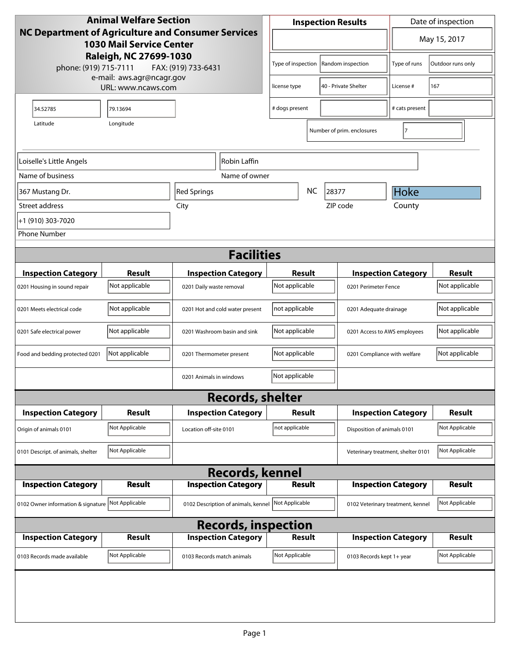| <b>Animal Welfare Section</b>                                                         |                                                 |                                     | <b>Inspection Results</b>                      |           |                                    | Date of inspection         |                |
|---------------------------------------------------------------------------------------|-------------------------------------------------|-------------------------------------|------------------------------------------------|-----------|------------------------------------|----------------------------|----------------|
| NC Department of Agriculture and Consumer Services<br><b>1030 Mail Service Center</b> |                                                 |                                     | $\overline{\phantom{a}}$                       |           |                                    | May 15, 2017               |                |
| Raleigh, NC 27699-1030<br>phone: (919) 715-7111<br>FAX: (919) 733-6431                |                                                 |                                     | Random inspection<br>Type of inspection        |           | Type of runs                       | Outdoor runs only          |                |
|                                                                                       | e-mail: aws.agr@ncagr.gov<br>URL: www.ncaws.com |                                     | license type                                   |           | 40 - Private Shelter               | License #                  | 167            |
| 34.52785                                                                              | 79.13694                                        |                                     | # dogs present                                 |           |                                    | # cats present             |                |
| Latitude                                                                              | Longitude                                       |                                     |                                                |           | Number of prim. enclosures         | 17                         |                |
| Loiselle's Little Angels                                                              |                                                 | Robin Laffin                        |                                                |           |                                    |                            |                |
| Name of business                                                                      |                                                 | Name of owner                       |                                                |           |                                    |                            |                |
| 367 Mustang Dr.                                                                       |                                                 | Red Springs                         |                                                | <b>NC</b> | 28377                              | Hoke                       |                |
| Street address                                                                        |                                                 | City                                |                                                |           | ZIP code                           | County                     |                |
| +1 (910) 303-7020                                                                     |                                                 |                                     |                                                |           |                                    |                            |                |
| <b>Phone Number</b>                                                                   |                                                 |                                     |                                                |           |                                    |                            |                |
|                                                                                       |                                                 | <b>Facilities</b>                   |                                                |           |                                    |                            |                |
| <b>Inspection Category</b>                                                            | Result                                          | <b>Inspection Category</b>          | <b>Result</b>                                  |           |                                    | <b>Inspection Category</b> | <b>Result</b>  |
| 0201 Housing in sound repair                                                          | Not applicable                                  | 0201 Daily waste removal            | Not applicable                                 |           | 0201 Perimeter Fence               |                            | Not applicable |
| 0201 Meets electrical code                                                            | Not applicable                                  | 0201 Hot and cold water present     | not applicable                                 |           | 0201 Adequate drainage             |                            | Not applicable |
| 0201 Safe electrical power                                                            | Not applicable                                  | 0201 Washroom basin and sink        | Not applicable                                 |           | 0201 Access to AWS employees       |                            | Not applicable |
| Food and bedding protected 0201                                                       | Not applicable                                  | 0201 Thermometer present            | Not applicable<br>0201 Compliance with welfare |           |                                    | Not applicable             |                |
|                                                                                       |                                                 | 0201 Animals in windows             | Not applicable                                 |           |                                    |                            |                |
|                                                                                       |                                                 | <b>Records, shelter</b>             |                                                |           |                                    |                            |                |
| <b>Inspection Category</b>                                                            | Result                                          | <b>Inspection Category</b>          | <b>Result</b>                                  |           |                                    | <b>Inspection Category</b> | <b>Result</b>  |
| Origin of animals 0101                                                                | Not Applicable                                  | Location off-site 0101              | not applicable                                 |           | Disposition of animals 0101        |                            | Not Applicable |
| 0101 Descript. of animals, shelter                                                    | Not Applicable                                  |                                     |                                                |           | Veterinary treatment, shelter 0101 |                            | Not Applicable |
|                                                                                       |                                                 | <b>Records, kennel</b>              |                                                |           |                                    |                            |                |
| <b>Inspection Category</b>                                                            | <b>Result</b>                                   | <b>Inspection Category</b>          | <b>Result</b>                                  |           |                                    | <b>Inspection Category</b> | <b>Result</b>  |
| 0102 Owner information & signature                                                    | Not Applicable                                  | 0102 Description of animals, kennel | Not Applicable                                 |           | 0102 Veterinary treatment, kennel  |                            | Not Applicable |
| <b>Records, inspection</b>                                                            |                                                 |                                     |                                                |           |                                    |                            |                |
| <b>Inspection Category</b>                                                            | <b>Result</b>                                   | <b>Inspection Category</b>          | <b>Result</b>                                  |           |                                    | <b>Inspection Category</b> | <b>Result</b>  |
| 0103 Records made available                                                           | Not Applicable                                  | 0103 Records match animals          | Not Applicable                                 |           | 0103 Records kept 1+ year          |                            | Not Applicable |
|                                                                                       |                                                 |                                     |                                                |           |                                    |                            |                |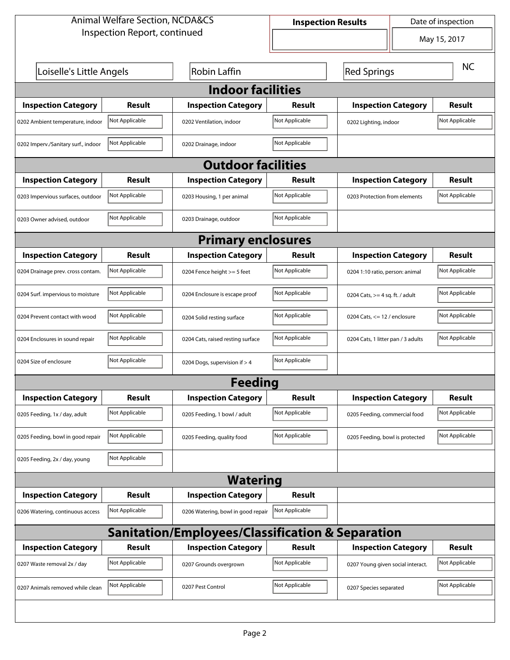| <b>Animal Welfare Section, NCDA&amp;CS</b>                  |                              |                                    | Date of inspection<br><b>Inspection Results</b> |                                    |                |  |  |  |
|-------------------------------------------------------------|------------------------------|------------------------------------|-------------------------------------------------|------------------------------------|----------------|--|--|--|
|                                                             | Inspection Report, continued |                                    |                                                 | May 15, 2017                       |                |  |  |  |
| Loiselle's Little Angels                                    |                              | <b>Robin Laffin</b>                |                                                 | <b>NC</b>                          |                |  |  |  |
| <b>Indoor facilities</b>                                    |                              |                                    |                                                 |                                    |                |  |  |  |
| <b>Inspection Category</b>                                  | <b>Result</b>                | <b>Inspection Category</b>         | Result                                          | <b>Inspection Category</b>         | <b>Result</b>  |  |  |  |
| 0202 Ambient temperature, indoor                            | Not Applicable               | 0202 Ventilation, indoor           | Not Applicable                                  | 0202 Lighting, indoor              | Not Applicable |  |  |  |
| 0202 Imperv./Sanitary surf., indoor                         | Not Applicable               | 0202 Drainage, indoor              | Not Applicable                                  |                                    |                |  |  |  |
|                                                             |                              | <b>Outdoor facilities</b>          |                                                 |                                    |                |  |  |  |
| <b>Inspection Category</b>                                  | <b>Result</b>                | <b>Inspection Category</b>         | Result                                          | <b>Inspection Category</b>         | <b>Result</b>  |  |  |  |
| 0203 Impervious surfaces, outdoor                           | Not Applicable               | 0203 Housing, 1 per animal         | Not Applicable                                  | 0203 Protection from elements      | Not Applicable |  |  |  |
| 0203 Owner advised, outdoor                                 | Not Applicable               | 0203 Drainage, outdoor             | Not Applicable                                  |                                    |                |  |  |  |
|                                                             | <b>Primary enclosures</b>    |                                    |                                                 |                                    |                |  |  |  |
| <b>Inspection Category</b>                                  | Result                       | <b>Inspection Category</b>         | Result                                          | <b>Inspection Category</b>         | <b>Result</b>  |  |  |  |
| 0204 Drainage prev. cross contam.                           | Not Applicable               | 0204 Fence height >= 5 feet        | Not Applicable                                  | 0204 1:10 ratio, person: animal    | Not Applicable |  |  |  |
| 0204 Surf. impervious to moisture                           | Not Applicable               | 0204 Enclosure is escape proof     | Not Applicable                                  | 0204 Cats, $>=$ 4 sq. ft. / adult  | Not Applicable |  |  |  |
| 0204 Prevent contact with wood                              | Not Applicable               | 0204 Solid resting surface         | Not Applicable                                  | 0204 Cats, $<= 12$ / enclosure     | Not Applicable |  |  |  |
| 0204 Enclosures in sound repair                             | Not Applicable               | 0204 Cats, raised resting surface  | Not Applicable                                  | 0204 Cats, 1 litter pan / 3 adults | Not Applicable |  |  |  |
| 0204 Size of enclosure                                      | Not Applicable               | 0204 Dogs, supervision if > 4      | Not Applicable                                  |                                    |                |  |  |  |
|                                                             |                              | Feeding                            |                                                 |                                    |                |  |  |  |
| <b>Inspection Category</b>                                  | Result                       | <b>Inspection Category</b>         | <b>Result</b>                                   | <b>Inspection Category</b>         | <b>Result</b>  |  |  |  |
| 0205 Feeding, 1x / day, adult                               | Not Applicable               | 0205 Feeding, 1 bowl / adult       | Not Applicable                                  | 0205 Feeding, commercial food      | Not Applicable |  |  |  |
| 0205 Feeding, bowl in good repair                           | Not Applicable               | 0205 Feeding, quality food         | Not Applicable                                  | 0205 Feeding, bowl is protected    | Not Applicable |  |  |  |
| 0205 Feeding, 2x / day, young                               | Not Applicable               |                                    |                                                 |                                    |                |  |  |  |
|                                                             |                              | <b>Watering</b>                    |                                                 |                                    |                |  |  |  |
| <b>Inspection Category</b>                                  | Result                       | <b>Inspection Category</b>         | Result                                          |                                    |                |  |  |  |
| 0206 Watering, continuous access                            | Not Applicable               | 0206 Watering, bowl in good repair | Not Applicable                                  |                                    |                |  |  |  |
| <b>Sanitation/Employees/Classification &amp; Separation</b> |                              |                                    |                                                 |                                    |                |  |  |  |
| <b>Inspection Category</b>                                  | Result                       | <b>Inspection Category</b>         | Result                                          | <b>Inspection Category</b>         | <b>Result</b>  |  |  |  |
| 0207 Waste removal 2x / day                                 | Not Applicable               | 0207 Grounds overgrown             | Not Applicable                                  | 0207 Young given social interact.  | Not Applicable |  |  |  |
| 0207 Animals removed while clean                            | Not Applicable               | 0207 Pest Control                  | Not Applicable                                  | 0207 Species separated             | Not Applicable |  |  |  |
|                                                             |                              |                                    |                                                 |                                    |                |  |  |  |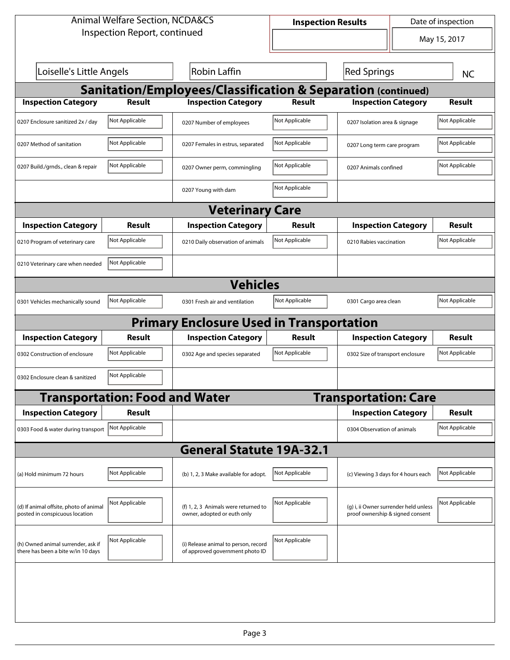| <b>Animal Welfare Section, NCDA&amp;CS</b>                               |                                       |                                                                         | Date of inspection<br><b>Inspection Results</b> |                                                                           |                |  |  |  |
|--------------------------------------------------------------------------|---------------------------------------|-------------------------------------------------------------------------|-------------------------------------------------|---------------------------------------------------------------------------|----------------|--|--|--|
|                                                                          | Inspection Report, continued          |                                                                         |                                                 | $\overline{\phantom{a}}$                                                  | May 15, 2017   |  |  |  |
| Loiselle's Little Angels                                                 |                                       | <b>Robin Laffin</b>                                                     |                                                 | <b>Red Springs</b>                                                        | <b>NC</b>      |  |  |  |
| <b>Sanitation/Employees/Classification &amp; Separation (continued)</b>  |                                       |                                                                         |                                                 |                                                                           |                |  |  |  |
| <b>Inspection Category</b>                                               | Result                                | <b>Inspection Category</b>                                              | Result                                          | <b>Inspection Category</b>                                                | <b>Result</b>  |  |  |  |
| 0207 Enclosure sanitized 2x / day                                        | Not Applicable                        | 0207 Number of employees                                                | Not Applicable                                  | 0207 Isolation area & signage                                             | Not Applicable |  |  |  |
| 0207 Method of sanitation                                                | Not Applicable                        | 0207 Females in estrus, separated                                       | Not Applicable                                  | 0207 Long term care program                                               | Not Applicable |  |  |  |
| 0207 Build./grnds., clean & repair                                       | Not Applicable                        | 0207 Owner perm, commingling                                            | Not Applicable                                  | 0207 Animals confined                                                     | Not Applicable |  |  |  |
|                                                                          |                                       | 0207 Young with dam                                                     | Not Applicable                                  |                                                                           |                |  |  |  |
| <b>Veterinary Care</b>                                                   |                                       |                                                                         |                                                 |                                                                           |                |  |  |  |
| <b>Inspection Category</b>                                               | <b>Result</b>                         | <b>Inspection Category</b>                                              | Result                                          | <b>Inspection Category</b>                                                | <b>Result</b>  |  |  |  |
| 0210 Program of veterinary care                                          | Not Applicable                        | 0210 Daily observation of animals                                       | Not Applicable                                  | 0210 Rabies vaccination                                                   | Not Applicable |  |  |  |
| 0210 Veterinary care when needed                                         | Not Applicable                        |                                                                         |                                                 |                                                                           |                |  |  |  |
|                                                                          |                                       | <b>Vehicles</b>                                                         |                                                 |                                                                           |                |  |  |  |
| 0301 Vehicles mechanically sound                                         | Not Applicable                        | 0301 Fresh air and ventilation                                          | Not Applicable                                  | 0301 Cargo area clean                                                     | Not Applicable |  |  |  |
|                                                                          |                                       | <b>Primary Enclosure Used in Transportation</b>                         |                                                 |                                                                           |                |  |  |  |
| <b>Inspection Category</b>                                               | <b>Result</b>                         | <b>Inspection Category</b>                                              | Result                                          | <b>Inspection Category</b>                                                | <b>Result</b>  |  |  |  |
| 0302 Construction of enclosure                                           | Not Applicable                        | 0302 Age and species separated                                          | Not Applicable                                  | 0302 Size of transport enclosure                                          | Not Applicable |  |  |  |
| 0302 Enclosure clean & sanitized                                         | Not Applicable                        |                                                                         |                                                 |                                                                           |                |  |  |  |
|                                                                          | <b>Transportation: Food and Water</b> |                                                                         |                                                 | <b>Transportation: Care</b>                                               |                |  |  |  |
| <b>Inspection Category</b>                                               | <b>Result</b>                         |                                                                         |                                                 | <b>Inspection Category</b>                                                | Result         |  |  |  |
| 0303 Food & water during transport Not Applicable                        |                                       |                                                                         |                                                 | 0304 Observation of animals                                               | Not Applicable |  |  |  |
|                                                                          |                                       | <b>General Statute 19A-32.1</b>                                         |                                                 |                                                                           |                |  |  |  |
| (a) Hold minimum 72 hours                                                | Not Applicable                        | (b) 1, 2, 3 Make available for adopt.                                   | Not Applicable                                  | (c) Viewing 3 days for 4 hours each                                       | Not Applicable |  |  |  |
| (d) If animal offsite, photo of animal<br>posted in conspicuous location | Not Applicable                        | (f) 1, 2, 3 Animals were returned to<br>owner, adopted or euth only     | Not Applicable                                  | (g) i, ii Owner surrender held unless<br>proof ownership & signed consent | Not Applicable |  |  |  |
| (h) Owned animal surrender, ask if<br>there has been a bite w/in 10 days | Not Applicable                        | (i) Release animal to person, record<br>of approved government photo ID | Not Applicable                                  |                                                                           |                |  |  |  |
|                                                                          |                                       |                                                                         |                                                 |                                                                           |                |  |  |  |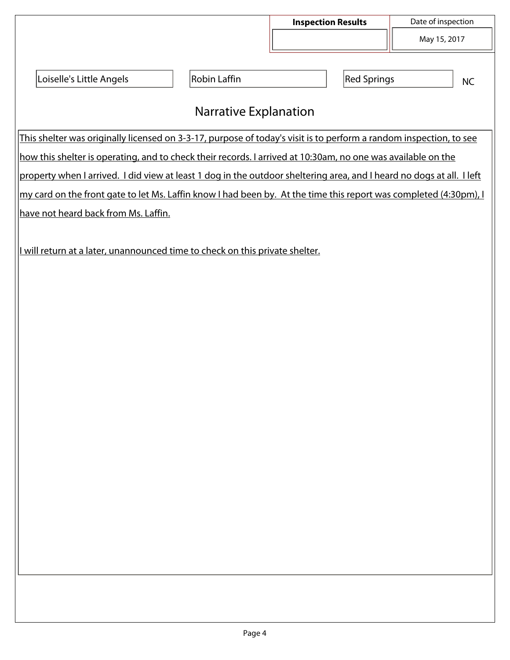|                                                                                                                       |                              | <b>Inspection Results</b> |                    | Date of inspection |
|-----------------------------------------------------------------------------------------------------------------------|------------------------------|---------------------------|--------------------|--------------------|
|                                                                                                                       |                              |                           |                    | May 15, 2017       |
| Loiselle's Little Angels                                                                                              | Robin Laffin                 |                           | <b>Red Springs</b> |                    |
|                                                                                                                       |                              |                           |                    | <b>NC</b>          |
|                                                                                                                       | <b>Narrative Explanation</b> |                           |                    |                    |
| This shelter was originally licensed on 3-3-17, purpose of today's visit is to perform a random inspection, to see    |                              |                           |                    |                    |
| how this shelter is operating, and to check their records. I arrived at 10:30am, no one was available on the          |                              |                           |                    |                    |
| property when I arrived. I did view at least 1 dog in the outdoor sheltering area, and I heard no dogs at all. I left |                              |                           |                    |                    |
| my card on the front gate to let Ms. Laffin know I had been by. At the time this report was completed (4:30pm), I     |                              |                           |                    |                    |
| have not heard back from Ms. Laffin.                                                                                  |                              |                           |                    |                    |
|                                                                                                                       |                              |                           |                    |                    |
| I will return at a later, unannounced time to check on this private shelter.                                          |                              |                           |                    |                    |
|                                                                                                                       |                              |                           |                    |                    |
|                                                                                                                       |                              |                           |                    |                    |
|                                                                                                                       |                              |                           |                    |                    |
|                                                                                                                       |                              |                           |                    |                    |
|                                                                                                                       |                              |                           |                    |                    |
|                                                                                                                       |                              |                           |                    |                    |
|                                                                                                                       |                              |                           |                    |                    |
|                                                                                                                       |                              |                           |                    |                    |
|                                                                                                                       |                              |                           |                    |                    |
|                                                                                                                       |                              |                           |                    |                    |
|                                                                                                                       |                              |                           |                    |                    |
|                                                                                                                       |                              |                           |                    |                    |
|                                                                                                                       |                              |                           |                    |                    |
|                                                                                                                       |                              |                           |                    |                    |
|                                                                                                                       |                              |                           |                    |                    |
|                                                                                                                       |                              |                           |                    |                    |
|                                                                                                                       |                              |                           |                    |                    |